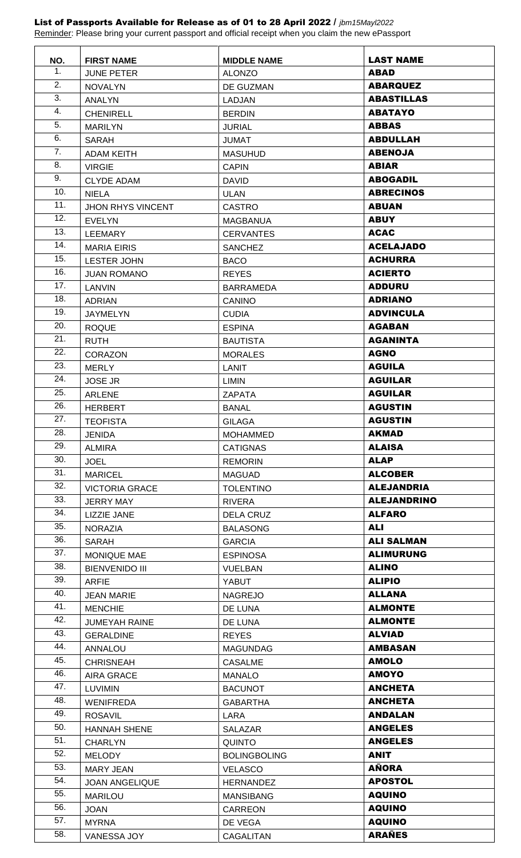## List of Passports Available for Release as of 01 to 28 April 2022 / *jbm15Mayl2022*

Reminder: Please bring your current passport and official receipt when you claim the new ePassport

| NO.        | <b>FIRST NAME</b>                  | <b>MIDDLE NAME</b>              | <b>LAST NAME</b>               |
|------------|------------------------------------|---------------------------------|--------------------------------|
| 1.         | <b>JUNE PETER</b>                  | <b>ALONZO</b>                   | <b>ABAD</b>                    |
| 2.         | <b>NOVALYN</b>                     | DE GUZMAN                       | <b>ABARQUEZ</b>                |
| 3.         | <b>ANALYN</b>                      | LADJAN                          | <b>ABASTILLAS</b>              |
| 4.         | <b>CHENIRELL</b>                   | <b>BERDIN</b>                   | <b>ABATAYO</b>                 |
| 5.         | <b>MARILYN</b>                     | <b>JURIAL</b>                   | <b>ABBAS</b>                   |
| 6.         | <b>SARAH</b>                       | <b>JUMAT</b>                    | <b>ABDULLAH</b>                |
| 7.         | <b>ADAM KEITH</b>                  | <b>MASUHUD</b>                  | <b>ABENOJA</b>                 |
| 8.         | <b>VIRGIE</b>                      | <b>CAPIN</b>                    | <b>ABIAR</b>                   |
| 9.         | <b>CLYDE ADAM</b>                  | <b>DAVID</b>                    | <b>ABOGADIL</b>                |
| 10.        | <b>NIELA</b>                       | <b>ULAN</b>                     | <b>ABRECINOS</b>               |
| 11.        | <b>JHON RHYS VINCENT</b>           | <b>CASTRO</b>                   | <b>ABUAN</b>                   |
| 12.        | <b>EVELYN</b>                      | <b>MAGBANUA</b>                 | <b>ABUY</b>                    |
| 13.        | LEEMARY                            | <b>CERVANTES</b>                | <b>ACAC</b>                    |
| 14.        | <b>MARIA EIRIS</b>                 | <b>SANCHEZ</b>                  | <b>ACELAJADO</b>               |
| 15.        | <b>LESTER JOHN</b>                 | <b>BACO</b>                     | <b>ACHURRA</b>                 |
| 16.        | <b>JUAN ROMANO</b>                 | <b>REYES</b>                    | <b>ACIERTO</b>                 |
| 17.        | LANVIN                             | <b>BARRAMEDA</b>                | <b>ADDURU</b>                  |
| 18.        | <b>ADRIAN</b>                      | <b>CANINO</b>                   | <b>ADRIANO</b>                 |
| 19.        | JAYMELYN                           | <b>CUDIA</b>                    | <b>ADVINCULA</b>               |
| 20.        | <b>ROQUE</b>                       | <b>ESPINA</b>                   | <b>AGABAN</b>                  |
| 21.        | <b>RUTH</b>                        | <b>BAUTISTA</b>                 | <b>AGANINTA</b>                |
| 22.        | <b>CORAZON</b>                     | <b>MORALES</b>                  | <b>AGNO</b>                    |
| 23.        | <b>MERLY</b>                       | <b>LANIT</b>                    | <b>AGUILA</b>                  |
| 24.        | <b>JOSE JR</b>                     | LIMIN                           | <b>AGUILAR</b>                 |
| 25.        | <b>ARLENE</b>                      | ZAPATA                          | <b>AGUILAR</b>                 |
| 26.        | <b>HERBERT</b>                     | <b>BANAL</b>                    | <b>AGUSTIN</b>                 |
| 27.        | <b>TEOFISTA</b>                    | <b>GILAGA</b>                   | <b>AGUSTIN</b>                 |
| 28.        | <b>JENIDA</b>                      | <b>MOHAMMED</b>                 | <b>AKMAD</b>                   |
| 29.        | <b>ALMIRA</b>                      | <b>CATIGNAS</b>                 | <b>ALAISA</b>                  |
| 30.        | <b>JOEL</b>                        | <b>REMORIN</b>                  | <b>ALAP</b>                    |
| 31.        | <b>MARICEL</b>                     | <b>MAGUAD</b>                   | <b>ALCOBER</b>                 |
| 32.        | <b>VICTORIA GRACE</b>              | <b>TOLENTINO</b>                | <b>ALEJANDRIA</b>              |
| 33.        | <b>JERRY MAY</b>                   | <b>RIVERA</b>                   | <b>ALEJANDRINO</b>             |
| 34.        | LIZZIE JANE                        | <b>DELA CRUZ</b>                | <b>ALFARO</b>                  |
| 35.        | <b>NORAZIA</b>                     | <b>BALASONG</b>                 | <b>ALI</b>                     |
| 36.<br>37. | <b>SARAH</b>                       | <b>GARCIA</b>                   | <b>ALI SALMAN</b>              |
| 38.        | <b>MONIQUE MAE</b>                 | <b>ESPINOSA</b>                 | <b>ALIMURUNG</b>               |
| 39.        | <b>BIENVENIDO III</b>              | <b>VUELBAN</b>                  | <b>ALINO</b>                   |
| 40.        | ARFIE                              | <b>YABUT</b>                    | <b>ALIPIO</b><br><b>ALLANA</b> |
| 41.        | <b>JEAN MARIE</b>                  | <b>NAGREJO</b>                  | <b>ALMONTE</b>                 |
| 42.        | <b>MENCHIE</b>                     | DE LUNA                         | <b>ALMONTE</b>                 |
| 43.        | <b>JUMEYAH RAINE</b>               | DE LUNA                         | <b>ALVIAD</b>                  |
| 44.        | <b>GERALDINE</b><br><b>ANNALOU</b> | <b>REYES</b><br><b>MAGUNDAG</b> | <b>AMBASAN</b>                 |
| 45.        | <b>CHRISNEAH</b>                   | <b>CASALME</b>                  | <b>AMOLO</b>                   |
| 46.        | AIRA GRACE                         | <b>MANALO</b>                   | <b>AMOYO</b>                   |
| 47.        | <b>LUVIMIN</b>                     | <b>BACUNOT</b>                  | <b>ANCHETA</b>                 |
| 48.        | <b>WENIFREDA</b>                   | <b>GABARTHA</b>                 | <b>ANCHETA</b>                 |
| 49.        | <b>ROSAVIL</b>                     | LARA                            | <b>ANDALAN</b>                 |
| 50.        | <b>HANNAH SHENE</b>                | SALAZAR                         | <b>ANGELES</b>                 |
| 51.        | <b>CHARLYN</b>                     | <b>QUINTO</b>                   | <b>ANGELES</b>                 |
| 52.        | <b>MELODY</b>                      | <b>BOLINGBOLING</b>             | <b>ANIT</b>                    |
| 53.        | <b>MARY JEAN</b>                   | <b>VELASCO</b>                  | <b>AÑORA</b>                   |
| 54.        | <b>JOAN ANGELIQUE</b>              | <b>HERNANDEZ</b>                | <b>APOSTOL</b>                 |
| 55.        | <b>MARILOU</b>                     | <b>MANSIBANG</b>                | <b>AQUINO</b>                  |
| 56.        | <b>JOAN</b>                        | CARREON                         | <b>AQUINO</b>                  |
| 57.        | <b>MYRNA</b>                       | DE VEGA                         | <b>AQUINO</b>                  |
| 58.        | VANESSA JOY                        | CAGALITAN                       | <b>ARAÑES</b>                  |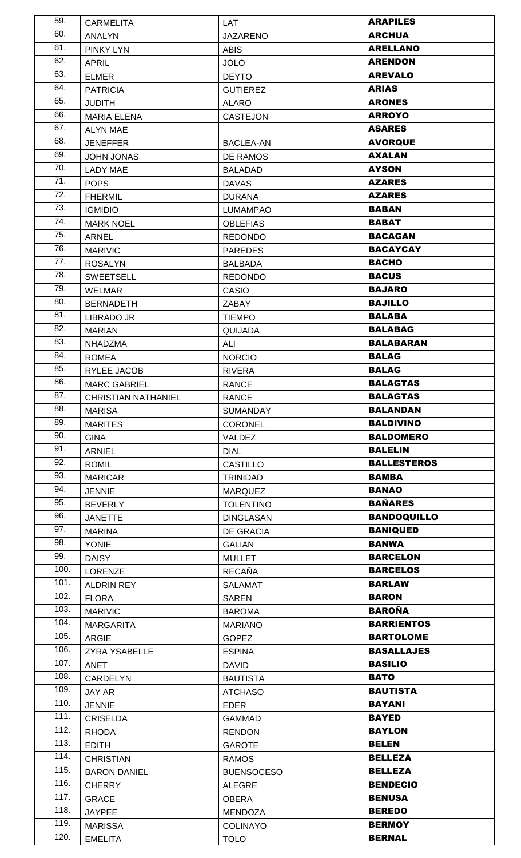| 59.          | <b>CARMELITA</b>                 | LAT                            | <b>ARAPILES</b>                |
|--------------|----------------------------------|--------------------------------|--------------------------------|
| 60.          | <b>ANALYN</b>                    | <b>JAZARENO</b>                | <b>ARCHUA</b>                  |
| 61.          | <b>PINKY LYN</b>                 | <b>ABIS</b>                    | <b>ARELLANO</b>                |
| 62.          | <b>APRIL</b>                     | <b>JOLO</b>                    | <b>ARENDON</b>                 |
| 63.          | <b>ELMER</b>                     | <b>DEYTO</b>                   | <b>AREVALO</b>                 |
| 64.          | <b>PATRICIA</b>                  | <b>GUTIEREZ</b>                | <b>ARIAS</b>                   |
| 65.          | <b>JUDITH</b>                    | <b>ALARO</b>                   | <b>ARONES</b>                  |
| 66.          | <b>MARIA ELENA</b>               | <b>CASTEJON</b>                | <b>ARROYO</b>                  |
| 67.          | <b>ALYN MAE</b>                  |                                | <b>ASARES</b>                  |
| 68.          | <b>JENEFFER</b>                  | <b>BACLEA-AN</b>               | <b>AVORQUE</b>                 |
| 69.          | <b>JOHN JONAS</b>                | DE RAMOS                       | <b>AXALAN</b>                  |
| 70.          | <b>LADY MAE</b>                  | <b>BALADAD</b>                 | <b>AYSON</b>                   |
| 71.          | <b>POPS</b>                      | <b>DAVAS</b>                   | <b>AZARES</b>                  |
| 72.          | <b>FHERMIL</b>                   | <b>DURANA</b>                  | <b>AZARES</b>                  |
| 73.          | <b>IGMIDIO</b>                   | <b>LUMAMPAO</b>                | <b>BABAN</b>                   |
| 74.          | <b>MARK NOEL</b>                 | <b>OBLEFIAS</b>                | <b>BABAT</b>                   |
| 75.          | <b>ARNEL</b>                     | <b>REDONDO</b>                 | <b>BACAGAN</b>                 |
| 76.          | <b>MARIVIC</b>                   | <b>PAREDES</b>                 | <b>BACAYCAY</b>                |
| 77.          | <b>ROSALYN</b>                   | <b>BALBADA</b>                 | <b>BACHO</b>                   |
| 78.          | <b>SWEETSELL</b>                 | <b>REDONDO</b>                 | <b>BACUS</b>                   |
| 79.          | <b>WELMAR</b>                    | <b>CASIO</b>                   | <b>BAJARO</b>                  |
| 80.          | <b>BERNADETH</b>                 | <b>ZABAY</b>                   | <b>BAJILLO</b>                 |
| 81.          | LIBRADO JR                       | <b>TIEMPO</b>                  | <b>BALABA</b>                  |
| 82.          | <b>MARIAN</b>                    | QUIJADA                        | <b>BALABAG</b>                 |
| 83.          | <b>NHADZMA</b>                   | ALI                            | <b>BALABARAN</b>               |
| 84.          | <b>ROMEA</b>                     | <b>NORCIO</b>                  | <b>BALAG</b>                   |
| 85.          | RYLEE JACOB                      | <b>RIVERA</b>                  | <b>BALAG</b>                   |
| 86.          | <b>MARC GABRIEL</b>              | <b>RANCE</b>                   | <b>BALAGTAS</b>                |
| 87.          | <b>CHRISTIAN NATHANIEL</b>       | <b>RANCE</b>                   | <b>BALAGTAS</b>                |
| 88.          | <b>MARISA</b>                    | <b>SUMANDAY</b>                | <b>BALANDAN</b>                |
| 89.          | <b>MARITES</b>                   | <b>CORONEL</b>                 | <b>BALDIVINO</b>               |
| 90.          | <b>GINA</b>                      | <b>VALDEZ</b>                  | <b>BALDOMERO</b>               |
| 91.          | <b>ARNIEL</b>                    | <b>DIAL</b>                    | <b>BALELIN</b>                 |
| 92.          | <b>ROMIL</b>                     | <b>CASTILLO</b>                | <b>BALLESTEROS</b>             |
| 93.          | <b>MARICAR</b>                   | <b>TRINIDAD</b>                | <b>BAMBA</b>                   |
| 94.          | <b>JENNIE</b>                    | <b>MARQUEZ</b>                 | <b>BANAO</b>                   |
| 95.          | <b>BEVERLY</b>                   | <b>TOLENTINO</b>               | <b>BAÑARES</b>                 |
| 96.          | <b>JANETTE</b>                   | <b>DINGLASAN</b>               | <b>BANDOQUILLO</b>             |
| 97.          | <b>MARINA</b>                    | DE GRACIA                      | <b>BANIQUED</b>                |
| 98.          | <b>YONIE</b>                     | <b>GALIAN</b>                  | <b>BANWA</b>                   |
| 99.          | <b>DAISY</b>                     | <b>MULLET</b>                  | <b>BARCELON</b>                |
| 100.         | LORENZE                          | <b>RECAÑA</b>                  | <b>BARCELOS</b>                |
| 101.         | ALDRIN REY                       |                                |                                |
| 102.         |                                  |                                |                                |
|              |                                  | <b>SALAMAT</b>                 | <b>BARLAW</b>                  |
|              | <b>FLORA</b>                     | <b>SAREN</b>                   | <b>BARON</b>                   |
| 103.         | <b>MARIVIC</b>                   | <b>BAROMA</b>                  | <b>BAROÑA</b>                  |
| 104.         | <b>MARGARITA</b>                 | <b>MARIANO</b>                 | <b>BARRIENTOS</b>              |
| 105.         | <b>ARGIE</b>                     | <b>GOPEZ</b>                   | <b>BARTOLOME</b>               |
| 106.         | ZYRA YSABELLE                    | <b>ESPINA</b>                  | <b>BASALLAJES</b>              |
| 107.         | <b>ANET</b>                      | <b>DAVID</b>                   | <b>BASILIO</b>                 |
| 108.         | CARDELYN                         | <b>BAUTISTA</b>                | <b>BATO</b>                    |
| 109.         | JAY AR                           | <b>ATCHASO</b>                 | <b>BAUTISTA</b>                |
| 110.         | <b>JENNIE</b>                    | <b>EDER</b>                    | <b>BAYANI</b>                  |
| 111.         | <b>CRISELDA</b>                  | <b>GAMMAD</b>                  | <b>BAYED</b>                   |
| 112.         | <b>RHODA</b>                     | <b>RENDON</b>                  | <b>BAYLON</b>                  |
| 113.         | <b>EDITH</b>                     | <b>GAROTE</b>                  | <b>BELEN</b>                   |
| 114.         | <b>CHRISTIAN</b>                 | <b>RAMOS</b>                   | <b>BELLEZA</b>                 |
| 115.         | <b>BARON DANIEL</b>              | <b>BUENSOCESO</b>              | <b>BELLEZA</b>                 |
| 116.         | <b>CHERRY</b>                    | <b>ALEGRE</b>                  | <b>BENDECIO</b>                |
| 117.         | <b>GRACE</b>                     | <b>OBERA</b>                   | <b>BENUSA</b>                  |
| 118.         | <b>JAYPEE</b>                    | <b>MENDOZA</b>                 | <b>BEREDO</b>                  |
| 119.<br>120. | <b>MARISSA</b><br><b>EMELITA</b> | <b>COLINAYO</b><br><b>TOLO</b> | <b>BERMOY</b><br><b>BERNAL</b> |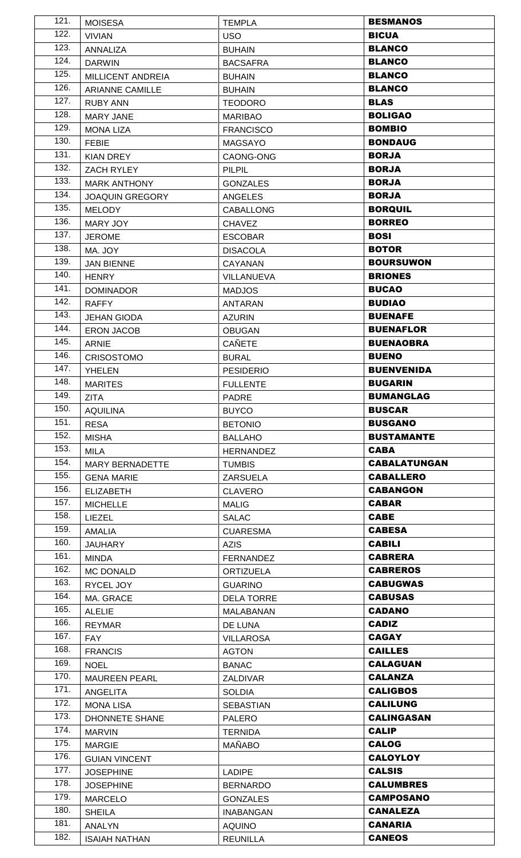| 121. | <b>MOISESA</b>         | <b>TEMPLA</b>                      | <b>BESMANOS</b>     |
|------|------------------------|------------------------------------|---------------------|
| 122. | <b>VIVIAN</b>          | <b>USO</b>                         | <b>BICUA</b>        |
| 123. | <b>ANNALIZA</b>        | <b>BUHAIN</b>                      | <b>BLANCO</b>       |
| 124. | <b>DARWIN</b>          | <b>BACSAFRA</b>                    | <b>BLANCO</b>       |
| 125. | MILLICENT ANDREIA      | <b>BUHAIN</b>                      | <b>BLANCO</b>       |
| 126. | <b>ARIANNE CAMILLE</b> | <b>BUHAIN</b>                      | <b>BLANCO</b>       |
| 127. | <b>RUBY ANN</b>        | <b>TEODORO</b>                     | <b>BLAS</b>         |
| 128. | <b>MARY JANE</b>       | <b>MARIBAO</b>                     | <b>BOLIGAO</b>      |
| 129. | <b>MONA LIZA</b>       | <b>FRANCISCO</b>                   | <b>BOMBIO</b>       |
| 130. | <b>FEBIE</b>           | <b>MAGSAYO</b>                     | <b>BONDAUG</b>      |
| 131. | <b>KIAN DREY</b>       | CAONG-ONG                          | <b>BORJA</b>        |
| 132. | ZACH RYLEY             | <b>PILPIL</b>                      | <b>BORJA</b>        |
| 133. | <b>MARK ANTHONY</b>    | <b>GONZALES</b>                    | <b>BORJA</b>        |
| 134. | <b>JOAQUIN GREGORY</b> | <b>ANGELES</b>                     | <b>BORJA</b>        |
| 135. | <b>MELODY</b>          | <b>CABALLONG</b>                   | <b>BORQUIL</b>      |
| 136. | MARY JOY               | <b>CHAVEZ</b>                      | <b>BORREO</b>       |
| 137. | <b>JEROME</b>          | <b>ESCOBAR</b>                     | <b>BOSI</b>         |
| 138. | MA. JOY                | <b>DISACOLA</b>                    | <b>BOTOR</b>        |
| 139. | <b>JAN BIENNE</b>      | <b>CAYANAN</b>                     | <b>BOURSUWON</b>    |
| 140. | <b>HENRY</b>           | VILLANUEVA                         | <b>BRIONES</b>      |
| 141. | <b>DOMINADOR</b>       | <b>MADJOS</b>                      | <b>BUCAO</b>        |
| 142. | <b>RAFFY</b>           | <b>ANTARAN</b>                     | <b>BUDIAO</b>       |
| 143. | <b>JEHAN GIODA</b>     | <b>AZURIN</b>                      | <b>BUENAFE</b>      |
| 144. | <b>ERON JACOB</b>      | <b>OBUGAN</b>                      | <b>BUENAFLOR</b>    |
| 145. | <b>ARNIE</b>           | <b>CAÑETE</b>                      | <b>BUENAOBRA</b>    |
| 146. | CRISOSTOMO             | <b>BURAL</b>                       | <b>BUENO</b>        |
| 147. | <b>YHELEN</b>          | <b>PESIDERIO</b>                   | <b>BUENVENIDA</b>   |
| 148. | <b>MARITES</b>         | <b>FULLENTE</b>                    | <b>BUGARIN</b>      |
| 149. | <b>ZITA</b>            | PADRE                              | <b>BUMANGLAG</b>    |
| 150. | <b>AQUILINA</b>        | <b>BUYCO</b>                       | <b>BUSCAR</b>       |
| 151. | <b>RESA</b>            | <b>BETONIO</b>                     | <b>BUSGANO</b>      |
|      |                        |                                    |                     |
| 152. |                        |                                    | <b>BUSTAMANTE</b>   |
| 153. | <b>MISHA</b><br>MILA   | <b>BALLAHO</b><br><b>HERNANDEZ</b> | <b>CABA</b>         |
| 154. | <b>MARY BERNADETTE</b> | <b>TUMBIS</b>                      | <b>CABALATUNGAN</b> |
| 155. | <b>GENA MARIE</b>      |                                    | <b>CABALLERO</b>    |
| 156. | <b>ELIZABETH</b>       | <b>ZARSUELA</b>                    | <b>CABANGON</b>     |
| 157. | <b>MICHELLE</b>        | <b>CLAVERO</b><br><b>MALIG</b>     | <b>CABAR</b>        |
| 158. | LIEZEL                 | <b>SALAC</b>                       | <b>CABE</b>         |
| 159. | <b>AMALIA</b>          | <b>CUARESMA</b>                    | <b>CABESA</b>       |
| 160. | <b>JAUHARY</b>         | <b>AZIS</b>                        | <b>CABILI</b>       |
| 161. | MINDA                  | <b>FERNANDEZ</b>                   | <b>CABRERA</b>      |
| 162. | <b>MC DONALD</b>       | <b>ORTIZUELA</b>                   | <b>CABREROS</b>     |
| 163. | RYCEL JOY              | <b>GUARINO</b>                     | <b>CABUGWAS</b>     |
| 164. | MA. GRACE              | <b>DELA TORRE</b>                  | <b>CABUSAS</b>      |
| 165. | <b>ALELIE</b>          | MALABANAN                          | <b>CADANO</b>       |
| 166. | <b>REYMAR</b>          | DE LUNA                            | <b>CADIZ</b>        |
| 167. | <b>FAY</b>             | <b>VILLAROSA</b>                   | <b>CAGAY</b>        |
| 168. | <b>FRANCIS</b>         | <b>AGTON</b>                       | <b>CAILLES</b>      |
| 169. | <b>NOEL</b>            | <b>BANAC</b>                       | <b>CALAGUAN</b>     |
| 170. | <b>MAUREEN PEARL</b>   | ZALDIVAR                           | <b>CALANZA</b>      |
| 171. | ANGELITA               | <b>SOLDIA</b>                      | <b>CALIGBOS</b>     |
| 172. | <b>MONA LISA</b>       | <b>SEBASTIAN</b>                   | <b>CALILUNG</b>     |
| 173. | <b>DHONNETE SHANE</b>  | <b>PALERO</b>                      | <b>CALINGASAN</b>   |
| 174. | <b>MARVIN</b>          | <b>TERNIDA</b>                     | <b>CALIP</b>        |
| 175. | <b>MARGIE</b>          | <b>MAÑABO</b>                      | <b>CALOG</b>        |
| 176. | <b>GUIAN VINCENT</b>   |                                    | <b>CALOYLOY</b>     |
| 177. | <b>JOSEPHINE</b>       | <b>LADIPE</b>                      | <b>CALSIS</b>       |
| 178. | <b>JOSEPHINE</b>       | <b>BERNARDO</b>                    | <b>CALUMBRES</b>    |
| 179. | <b>MARCELO</b>         | <b>GONZALES</b>                    | <b>CAMPOSANO</b>    |
| 180. | <b>SHEILA</b>          | <b>INABANGAN</b>                   | <b>CANALEZA</b>     |
| 181. | <b>ANALYN</b>          | <b>AQUINO</b>                      | <b>CANARIA</b>      |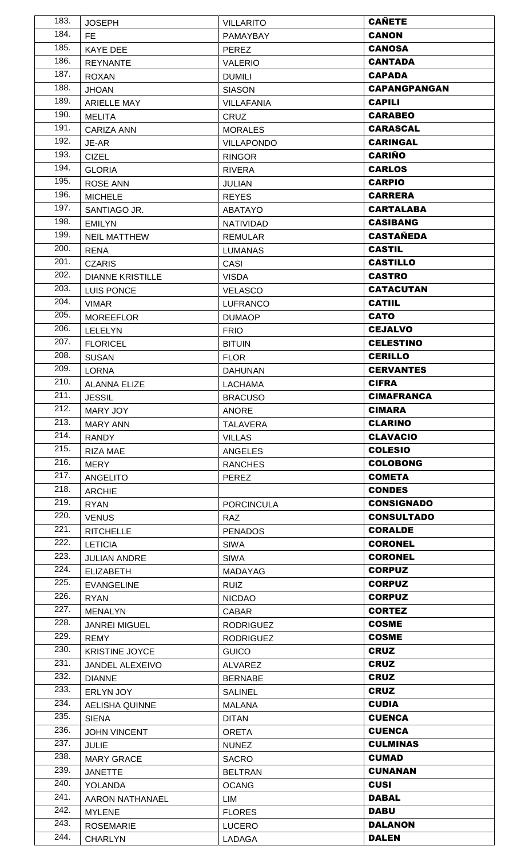| 183. | <b>JOSEPH</b>           | <b>VILLARITO</b>  | <b>CAÑETE</b>       |
|------|-------------------------|-------------------|---------------------|
| 184. | FE.                     | PAMAYBAY          | <b>CANON</b>        |
| 185. | <b>KAYE DEE</b>         | <b>PEREZ</b>      | <b>CANOSA</b>       |
| 186. | <b>REYNANTE</b>         | <b>VALERIO</b>    | <b>CANTADA</b>      |
| 187. | <b>ROXAN</b>            | <b>DUMILI</b>     | <b>CAPADA</b>       |
| 188. | <b>JHOAN</b>            | <b>SIASON</b>     | <b>CAPANGPANGAN</b> |
| 189. | <b>ARIELLE MAY</b>      | <b>VILLAFANIA</b> | <b>CAPILI</b>       |
| 190. | <b>MELITA</b>           | CRUZ              | <b>CARABEO</b>      |
| 191. | <b>CARIZA ANN</b>       | <b>MORALES</b>    | <b>CARASCAL</b>     |
| 192. | JE-AR                   | <b>VILLAPONDO</b> | <b>CARINGAL</b>     |
| 193. | <b>CIZEL</b>            | <b>RINGOR</b>     | <b>CARIÑO</b>       |
| 194. | <b>GLORIA</b>           | <b>RIVERA</b>     | <b>CARLOS</b>       |
| 195. | <b>ROSE ANN</b>         | <b>JULIAN</b>     | <b>CARPIO</b>       |
| 196. | <b>MICHELE</b>          | <b>REYES</b>      | <b>CARRERA</b>      |
| 197. | SANTIAGO JR.            | <b>ABATAYO</b>    | <b>CARTALABA</b>    |
| 198. | <b>EMILYN</b>           | <b>NATIVIDAD</b>  | <b>CASIBANG</b>     |
| 199. | <b>NEIL MATTHEW</b>     | REMULAR           | <b>CASTAÑEDA</b>    |
| 200. | <b>RENA</b>             | <b>LUMANAS</b>    | <b>CASTIL</b>       |
| 201. | <b>CZARIS</b>           | CASI              | <b>CASTILLO</b>     |
| 202. | <b>DIANNE KRISTILLE</b> | <b>VISDA</b>      | <b>CASTRO</b>       |
| 203. | <b>LUIS PONCE</b>       | <b>VELASCO</b>    | <b>CATACUTAN</b>    |
| 204. | <b>VIMAR</b>            | <b>LUFRANCO</b>   | <b>CATIIL</b>       |
| 205. | <b>MOREEFLOR</b>        | <b>DUMAOP</b>     | <b>CATO</b>         |
| 206. | <b>LELELYN</b>          | <b>FRIO</b>       | <b>CEJALVO</b>      |
| 207. | <b>FLORICEL</b>         | <b>BITUIN</b>     | <b>CELESTINO</b>    |
| 208. | <b>SUSAN</b>            | <b>FLOR</b>       | <b>CERILLO</b>      |
| 209. | <b>LORNA</b>            | <b>DAHUNAN</b>    | <b>CERVANTES</b>    |
| 210. | <b>ALANNA ELIZE</b>     | <b>LACHAMA</b>    | <b>CIFRA</b>        |
| 211. | <b>JESSIL</b>           | <b>BRACUSO</b>    | <b>CIMAFRANCA</b>   |
| 212. | MARY JOY                | ANORE             | <b>CIMARA</b>       |
| 213. | <b>MARY ANN</b>         | <b>TALAVERA</b>   | <b>CLARINO</b>      |
| 214. | RANDY                   | <b>VILLAS</b>     | <b>CLAVACIO</b>     |
| 215. | <b>RIZA MAE</b>         | ANGELES           | <b>COLESIO</b>      |
| 216. | MERY                    | <b>RANCHES</b>    | <b>COLOBONG</b>     |
| 217. | <b>ANGELITO</b>         | PEREZ             | <b>COMETA</b>       |
| 218. | <b>ARCHIE</b>           |                   | <b>CONDES</b>       |
| 219. | <b>RYAN</b>             | <b>PORCINCULA</b> | <b>CONSIGNADO</b>   |
| 220. | <b>VENUS</b>            | <b>RAZ</b>        | <b>CONSULTADO</b>   |
| 221. | <b>RITCHELLE</b>        | <b>PENADOS</b>    | <b>CORALDE</b>      |
| 222. | <b>LETICIA</b>          | <b>SIWA</b>       | <b>CORONEL</b>      |
| 223. | <b>JULIAN ANDRE</b>     | <b>SIWA</b>       | <b>CORONEL</b>      |
| 224. | <b>ELIZABETH</b>        | MADAYAG           | <b>CORPUZ</b>       |
| 225. | <b>EVANGELINE</b>       | <b>RUIZ</b>       | <b>CORPUZ</b>       |
| 226. | <b>RYAN</b>             | <b>NICDAO</b>     | <b>CORPUZ</b>       |
| 227. | <b>MENALYN</b>          | <b>CABAR</b>      | <b>CORTEZ</b>       |
| 228. | <b>JANREI MIGUEL</b>    | <b>RODRIGUEZ</b>  | <b>COSME</b>        |
| 229. | <b>REMY</b>             | <b>RODRIGUEZ</b>  | <b>COSME</b>        |
| 230. | <b>KRISTINE JOYCE</b>   | <b>GUICO</b>      | <b>CRUZ</b>         |
| 231. | JANDEL ALEXEIVO         | <b>ALVAREZ</b>    | <b>CRUZ</b>         |
| 232. | <b>DIANNE</b>           | <b>BERNABE</b>    | <b>CRUZ</b>         |
| 233. | ERLYN JOY               | <b>SALINEL</b>    | <b>CRUZ</b>         |
| 234. | <b>AELISHA QUINNE</b>   | <b>MALANA</b>     | <b>CUDIA</b>        |
| 235. | <b>SIENA</b>            | <b>DITAN</b>      | <b>CUENCA</b>       |
| 236. | <b>JOHN VINCENT</b>     | <b>ORETA</b>      | <b>CUENCA</b>       |
| 237. | <b>JULIE</b>            | <b>NUNEZ</b>      | <b>CULMINAS</b>     |
| 238. | <b>MARY GRACE</b>       | <b>SACRO</b>      | <b>CUMAD</b>        |
| 239. | <b>JANETTE</b>          | <b>BELTRAN</b>    | <b>CUNANAN</b>      |
| 240. | <b>YOLANDA</b>          | <b>OCANG</b>      | <b>CUSI</b>         |
| 241. | AARON NATHANAEL         | LIM               | <b>DABAL</b>        |
| 242. | <b>MYLENE</b>           | <b>FLORES</b>     | <b>DABU</b>         |
| 243. | <b>ROSEMARIE</b>        | <b>LUCERO</b>     | <b>DALANON</b>      |
| 244. | <b>CHARLYN</b>          | LADAGA            | <b>DALEN</b>        |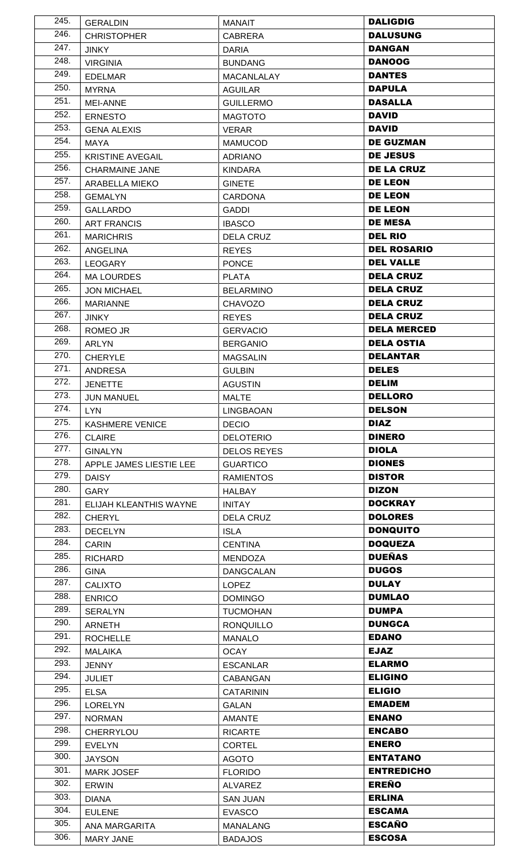| 245. | <b>GERALDIN</b>         | <b>MANAIT</b>                     | <b>DALIGDIG</b>    |
|------|-------------------------|-----------------------------------|--------------------|
| 246. | <b>CHRISTOPHER</b>      | <b>CABRERA</b>                    | <b>DALUSUNG</b>    |
| 247. | <b>JINKY</b>            | <b>DARIA</b>                      | <b>DANGAN</b>      |
| 248. | <b>VIRGINIA</b>         | <b>BUNDANG</b>                    | <b>DANOOG</b>      |
| 249. | <b>EDELMAR</b>          | <b>MACANLALAY</b>                 | <b>DANTES</b>      |
| 250. | <b>MYRNA</b>            | <b>AGUILAR</b>                    | <b>DAPULA</b>      |
| 251. | <b>MEI-ANNE</b>         | <b>GUILLERMO</b>                  | <b>DASALLA</b>     |
| 252. | <b>ERNESTO</b>          | <b>MAGTOTO</b>                    | <b>DAVID</b>       |
| 253. | <b>GENA ALEXIS</b>      | <b>VERAR</b>                      | <b>DAVID</b>       |
| 254. | <b>MAYA</b>             | <b>MAMUCOD</b>                    | <b>DE GUZMAN</b>   |
| 255. | <b>KRISTINE AVEGAIL</b> | <b>ADRIANO</b>                    | <b>DE JESUS</b>    |
| 256. | <b>CHARMAINE JANE</b>   | <b>KINDARA</b>                    | <b>DE LA CRUZ</b>  |
| 257. | ARABELLA MIEKO          | <b>GINETE</b>                     | <b>DE LEON</b>     |
| 258. | <b>GEMALYN</b>          | <b>CARDONA</b>                    | <b>DE LEON</b>     |
| 259. | <b>GALLARDO</b>         | <b>GADDI</b>                      | <b>DE LEON</b>     |
| 260. | <b>ART FRANCIS</b>      | <b>IBASCO</b>                     | <b>DE MESA</b>     |
| 261. | <b>MARICHRIS</b>        | <b>DELA CRUZ</b>                  | <b>DEL RIO</b>     |
| 262. | <b>ANGELINA</b>         | <b>REYES</b>                      | <b>DEL ROSARIO</b> |
| 263. | <b>LEOGARY</b>          | <b>PONCE</b>                      | <b>DEL VALLE</b>   |
| 264. | <b>MA LOURDES</b>       | <b>PLATA</b>                      | <b>DELA CRUZ</b>   |
| 265. | <b>JON MICHAEL</b>      | <b>BELARMINO</b>                  | <b>DELA CRUZ</b>   |
| 266. | <b>MARIANNE</b>         | <b>CHAVOZO</b>                    | <b>DELA CRUZ</b>   |
| 267. | <b>JINKY</b>            | <b>REYES</b>                      | <b>DELA CRUZ</b>   |
| 268. | ROMEO JR                | <b>GERVACIO</b>                   | <b>DELA MERCED</b> |
| 269. | <b>ARLYN</b>            | <b>BERGANIO</b>                   | <b>DELA OSTIA</b>  |
| 270. | <b>CHERYLE</b>          | <b>MAGSALIN</b>                   | <b>DELANTAR</b>    |
| 271. | <b>ANDRESA</b>          | <b>GULBIN</b>                     | <b>DELES</b>       |
| 272. | <b>JENETTE</b>          | <b>AGUSTIN</b>                    | <b>DELIM</b>       |
| 273. | <b>JUN MANUEL</b>       | <b>MALTE</b>                      | <b>DELLORO</b>     |
| 274. | LYN                     | <b>LINGBAOAN</b>                  | <b>DELSON</b>      |
| 275. | <b>KASHMERE VENICE</b>  | <b>DECIO</b>                      | <b>DIAZ</b>        |
| 276. | <b>CLAIRE</b>           | <b>DELOTERIO</b>                  | <b>DINERO</b>      |
| 277. | <b>GINALYN</b>          | <b>DELOS REYES</b>                | <b>DIOLA</b>       |
| 278. | APPLE JAMES LIESTIE LEE | <b>GUARTICO</b>                   | <b>DIONES</b>      |
| 279. | <b>DAISY</b>            | <b>RAMIENTOS</b>                  | <b>DISTOR</b>      |
| 280. | <b>GARY</b>             | <b>HALBAY</b>                     | <b>DIZON</b>       |
| 281. | ELIJAH KLEANTHIS WAYNE  | <b>INITAY</b>                     | <b>DOCKRAY</b>     |
| 282. | CHERYL                  | <b>DELA CRUZ</b>                  | <b>DOLORES</b>     |
| 283. | <b>DECELYN</b>          | <b>ISLA</b>                       | <b>DONQUITO</b>    |
| 284. | <b>CARIN</b>            | <b>CENTINA</b>                    | <b>DOQUEZA</b>     |
| 285. | <b>RICHARD</b>          | <b>MENDOZA</b>                    | <b>DUEÑAS</b>      |
| 286. | <b>GINA</b>             | <b>DANGCALAN</b>                  | <b>DUGOS</b>       |
| 287. | <b>CALIXTO</b>          | <b>LOPEZ</b>                      | <b>DULAY</b>       |
| 288. | <b>ENRICO</b>           | <b>DOMINGO</b>                    | <b>DUMLAO</b>      |
| 289. | <b>SERALYN</b>          | <b>TUCMOHAN</b>                   | <b>DUMPA</b>       |
| 290. |                         |                                   |                    |
|      | <b>ARNETH</b>           | <b>RONQUILLO</b>                  | <b>DUNGCA</b>      |
| 291. | <b>ROCHELLE</b>         | <b>MANALO</b>                     | <b>EDANO</b>       |
| 292. | <b>MALAIKA</b>          | <b>OCAY</b>                       | <b>EJAZ</b>        |
| 293. | <b>JENNY</b>            | <b>ESCANLAR</b>                   | <b>ELARMO</b>      |
| 294. | <b>JULIET</b>           | <b>CABANGAN</b>                   | <b>ELIGINO</b>     |
| 295. | <b>ELSA</b>             | <b>CATARININ</b>                  | <b>ELIGIO</b>      |
| 296. | <b>LORELYN</b>          | <b>GALAN</b>                      | <b>EMADEM</b>      |
| 297. | <b>NORMAN</b>           | <b>AMANTE</b>                     | <b>ENANO</b>       |
| 298. | <b>CHERRYLOU</b>        | <b>RICARTE</b>                    | <b>ENCABO</b>      |
| 299. | <b>EVELYN</b>           | <b>CORTEL</b>                     | <b>ENERO</b>       |
| 300. | <b>JAYSON</b>           | <b>AGOTO</b>                      | <b>ENTATANO</b>    |
| 301. | <b>MARK JOSEF</b>       | <b>FLORIDO</b>                    | <b>ENTREDICHO</b>  |
| 302. | <b>ERWIN</b>            |                                   | <b>EREÑO</b>       |
| 303. | <b>DIANA</b>            | <b>ALVAREZ</b><br><b>SAN JUAN</b> | <b>ERLINA</b>      |
| 304. | <b>EULENE</b>           |                                   | <b>ESCAMA</b>      |
| 305. | ANA MARGARITA           | <b>EVASCO</b><br><b>MANALANG</b>  | <b>ESCAÑO</b>      |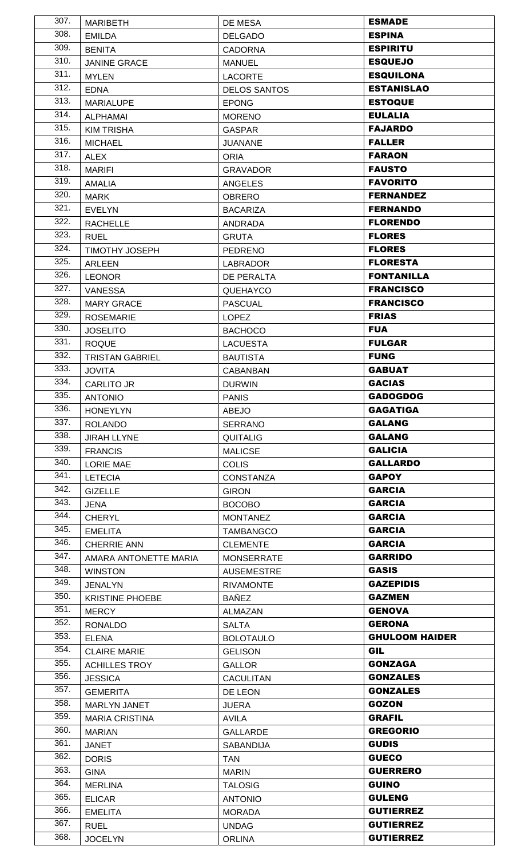| 307.              | <b>MARIBETH</b>        | DE MESA             | <b>ESMADE</b>         |
|-------------------|------------------------|---------------------|-----------------------|
| 308.              | <b>EMILDA</b>          | <b>DELGADO</b>      | <b>ESPINA</b>         |
| 309.              | <b>BENITA</b>          | <b>CADORNA</b>      | <b>ESPIRITU</b>       |
| 310.              | <b>JANINE GRACE</b>    | <b>MANUEL</b>       | <b>ESQUEJO</b>        |
| 311.              | <b>MYLEN</b>           | <b>LACORTE</b>      | <b>ESQUILONA</b>      |
| 312.              | <b>EDNA</b>            | <b>DELOS SANTOS</b> | <b>ESTANISLAO</b>     |
| 313.              | <b>MARIALUPE</b>       | <b>EPONG</b>        | <b>ESTOQUE</b>        |
| 314.              | <b>ALPHAMAI</b>        | <b>MORENO</b>       | <b>EULALIA</b>        |
| 315.              | <b>KIM TRISHA</b>      | <b>GASPAR</b>       | <b>FAJARDO</b>        |
| 316.              | <b>MICHAEL</b>         | <b>JUANANE</b>      | <b>FALLER</b>         |
| 317.              | <b>ALEX</b>            | <b>ORIA</b>         | <b>FARAON</b>         |
| 318.              | <b>MARIFI</b>          | <b>GRAVADOR</b>     | <b>FAUSTO</b>         |
| 319.              | <b>AMALIA</b>          | <b>ANGELES</b>      | <b>FAVORITO</b>       |
| $\overline{3}20.$ | <b>MARK</b>            | <b>OBRERO</b>       | <b>FERNANDEZ</b>      |
| 321.              | <b>EVELYN</b>          | <b>BACARIZA</b>     | <b>FERNANDO</b>       |
| 322.              | <b>RACHELLE</b>        | <b>ANDRADA</b>      | <b>FLORENDO</b>       |
| 323.              | <b>RUEL</b>            | <b>GRUTA</b>        | <b>FLORES</b>         |
| 324.              | <b>TIMOTHY JOSEPH</b>  | <b>PEDRENO</b>      | <b>FLORES</b>         |
| 325.              | <b>ARLEEN</b>          | <b>LABRADOR</b>     | <b>FLORESTA</b>       |
| 326.              | <b>LEONOR</b>          | DE PERALTA          | <b>FONTANILLA</b>     |
| 327.              | <b>VANESSA</b>         | QUEHAYCO            | <b>FRANCISCO</b>      |
| 328.              | <b>MARY GRACE</b>      | <b>PASCUAL</b>      | <b>FRANCISCO</b>      |
| 329.              | <b>ROSEMARIE</b>       | <b>LOPEZ</b>        | <b>FRIAS</b>          |
| 330.              | <b>JOSELITO</b>        | <b>BACHOCO</b>      | <b>FUA</b>            |
| 331.              | <b>ROQUE</b>           | <b>LACUESTA</b>     | <b>FULGAR</b>         |
| 332.              | <b>TRISTAN GABRIEL</b> | <b>BAUTISTA</b>     | <b>FUNG</b>           |
| 333.              | <b>JOVITA</b>          | <b>CABANBAN</b>     | <b>GABUAT</b>         |
| 334.              | <b>CARLITO JR</b>      | <b>DURWIN</b>       | <b>GACIAS</b>         |
| 335.              | <b>ANTONIO</b>         | <b>PANIS</b>        | <b>GADOGDOG</b>       |
| 336.              | <b>HONEYLYN</b>        | <b>ABEJO</b>        | <b>GAGATIGA</b>       |
| 337.              | <b>ROLANDO</b>         | <b>SERRANO</b>      | <b>GALANG</b>         |
| 338.              | <b>JIRAH LLYNE</b>     | <b>QUITALIG</b>     | <b>GALANG</b>         |
| 339.              | <b>FRANCIS</b>         | <b>MALICSE</b>      | <b>GALICIA</b>        |
| 340.              | <b>LORIE MAE</b>       | <b>COLIS</b>        | <b>GALLARDO</b>       |
| 341.              | <b>LETECIA</b>         | <b>CONSTANZA</b>    | <b>GAPOY</b>          |
| 342.              | <b>GIZELLE</b>         | <b>GIRON</b>        | <b>GARCIA</b>         |
| 343.              | JENA                   | <b>BOCOBO</b>       | <b>GARCIA</b>         |
| 344.              | <b>CHERYL</b>          | <b>MONTANEZ</b>     | <b>GARCIA</b>         |
| 345.              | <b>EMELITA</b>         | <b>TAMBANGCO</b>    | <b>GARCIA</b>         |
| 346.              | <b>CHERRIE ANN</b>     | <b>CLEMENTE</b>     | <b>GARCIA</b>         |
| 347.              | AMARA ANTONETTE MARIA  | <b>MONSERRATE</b>   | <b>GARRIDO</b>        |
| 348.              | <b>WINSTON</b>         | <b>AUSEMESTRE</b>   | <b>GASIS</b>          |
| 349.              | <b>JENALYN</b>         | <b>RIVAMONTE</b>    | <b>GAZEPIDIS</b>      |
| 350.              | <b>KRISTINE PHOEBE</b> | <b>BAÑEZ</b>        | <b>GAZMEN</b>         |
| 351.              | <b>MERCY</b>           | ALMAZAN             | <b>GENOVA</b>         |
| 352.              | <b>RONALDO</b>         | <b>SALTA</b>        | <b>GERONA</b>         |
| 353.              | <b>ELENA</b>           | <b>BOLOTAULO</b>    | <b>GHULOOM HAIDER</b> |
| 354.              | <b>CLAIRE MARIE</b>    | <b>GELISON</b>      | <b>GIL</b>            |
| 355.              | <b>ACHILLES TROY</b>   | <b>GALLOR</b>       | <b>GONZAGA</b>        |
| 356.              | <b>JESSICA</b>         | <b>CACULITAN</b>    | <b>GONZALES</b>       |
| 357.              | <b>GEMERITA</b>        | DE LEON             | <b>GONZALES</b>       |
| 358.              | <b>MARLYN JANET</b>    | <b>JUERA</b>        | <b>GOZON</b>          |
| 359.              | <b>MARIA CRISTINA</b>  | AVILA               | <b>GRAFIL</b>         |
| 360.              | <b>MARIAN</b>          | <b>GALLARDE</b>     | <b>GREGORIO</b>       |
| 361.              | <b>JANET</b>           | SABANDIJA           | <b>GUDIS</b>          |
| 362.              | <b>DORIS</b>           | <b>TAN</b>          | <b>GUECO</b>          |
| 363.              | <b>GINA</b>            | <b>MARIN</b>        | <b>GUERRERO</b>       |
| 364.              | <b>MERLINA</b>         | <b>TALOSIG</b>      | <b>GUINO</b>          |
| 365.              | <b>ELICAR</b>          | <b>ANTONIO</b>      | <b>GULENG</b>         |
| 366.              | <b>EMELITA</b>         | <b>MORADA</b>       | <b>GUTIERREZ</b>      |
| 367.              | <b>RUEL</b>            | <b>UNDAG</b>        | <b>GUTIERREZ</b>      |
| 368.              | <b>JOCELYN</b>         | <b>ORLINA</b>       | <b>GUTIERREZ</b>      |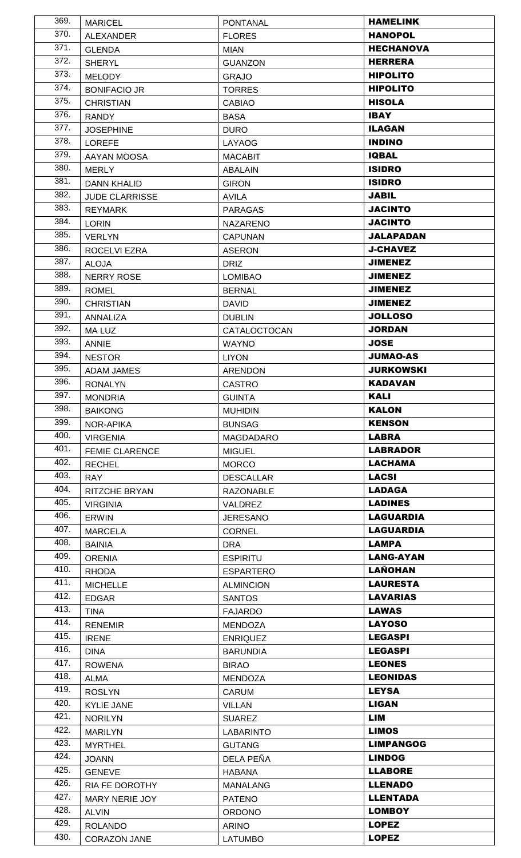| 369. | <b>MARICEL</b>                  | <b>PONTANAL</b>                      | <b>HAMELINK</b>                 |
|------|---------------------------------|--------------------------------------|---------------------------------|
| 370. | <b>ALEXANDER</b>                | <b>FLORES</b>                        | <b>HANOPOL</b>                  |
| 371. | <b>GLENDA</b>                   | <b>MIAN</b>                          | <b>HECHANOVA</b>                |
| 372. | <b>SHERYL</b>                   | <b>GUANZON</b>                       | <b>HERRERA</b>                  |
| 373. | <b>MELODY</b>                   | <b>GRAJO</b>                         | <b>HIPOLITO</b>                 |
| 374. | <b>BONIFACIO JR</b>             | <b>TORRES</b>                        | <b>HIPOLITO</b>                 |
| 375. | <b>CHRISTIAN</b>                | <b>CABIAO</b>                        | <b>HISOLA</b>                   |
| 376. | <b>RANDY</b>                    | <b>BASA</b>                          | <b>IBAY</b>                     |
| 377. | <b>JOSEPHINE</b>                | <b>DURO</b>                          | <b>ILAGAN</b>                   |
| 378. | <b>LOREFE</b>                   | LAYAOG                               | <b>INDINO</b>                   |
| 379. | AAYAN MOOSA                     | <b>MACABIT</b>                       | <b>IQBAL</b>                    |
| 380. | <b>MERLY</b>                    | ABALAIN                              | <b>ISIDRO</b>                   |
| 381. | <b>DANN KHALID</b>              | <b>GIRON</b>                         | <b>ISIDRO</b>                   |
| 382. | <b>JUDE CLARRISSE</b>           | <b>AVILA</b>                         | <b>JABIL</b>                    |
| 383. | <b>REYMARK</b>                  | <b>PARAGAS</b>                       | <b>JACINTO</b>                  |
| 384. | <b>LORIN</b>                    | <b>NAZARENO</b>                      | <b>JACINTO</b>                  |
| 385. | <b>VERLYN</b>                   | <b>CAPUNAN</b>                       | <b>JALAPADAN</b>                |
| 386. | ROCELVI EZRA                    | <b>ASERON</b>                        | <b>J-CHAVEZ</b>                 |
| 387. | <b>ALOJA</b>                    | <b>DRIZ</b>                          | <b>JIMENEZ</b>                  |
| 388. | <b>NERRY ROSE</b>               | <b>LOMIBAO</b>                       | <b>JIMENEZ</b>                  |
| 389. | <b>ROMEL</b>                    | <b>BERNAL</b>                        | <b>JIMENEZ</b>                  |
| 390. | <b>CHRISTIAN</b>                | <b>DAVID</b>                         | <b>JIMENEZ</b>                  |
| 391. | <b>ANNALIZA</b>                 | <b>DUBLIN</b>                        | <b>JOLLOSO</b>                  |
| 392. | <b>MALUZ</b>                    | CATALOCTOCAN                         | <b>JORDAN</b>                   |
| 393. | ANNIE                           | <b>WAYNO</b>                         | <b>JOSE</b>                     |
| 394. | <b>NESTOR</b>                   | <b>LIYON</b>                         | <b>JUMAO-AS</b>                 |
| 395. | ADAM JAMES                      | ARENDON                              | <b>JURKOWSKI</b>                |
| 396. | <b>RONALYN</b>                  | <b>CASTRO</b>                        | <b>KADAVAN</b>                  |
| 397. | <b>MONDRIA</b>                  | <b>GUINTA</b>                        | <b>KALI</b>                     |
| 398. | <b>BAIKONG</b>                  | <b>MUHIDIN</b>                       | <b>KALON</b>                    |
| 399. | <b>NOR-APIKA</b>                | <b>BUNSAG</b>                        | <b>KENSON</b>                   |
| 400. |                                 |                                      | LABRA                           |
|      |                                 |                                      |                                 |
| 401. | <b>VIRGENIA</b>                 | <b>MAGDADARO</b>                     |                                 |
| 402. | FEMIE CLARENCE                  | <b>MIGUEL</b>                        | <b>LABRADOR</b>                 |
| 403. | <b>RECHEL</b>                   | <b>MORCO</b>                         | <b>LACHAMA</b>                  |
| 404. | <b>RAY</b>                      | <b>DESCALLAR</b>                     | <b>LACSI</b>                    |
| 405. | <b>RITZCHE BRYAN</b>            | <b>RAZONABLE</b>                     | <b>LADAGA</b><br><b>LADINES</b> |
| 406. | <b>VIRGINIA</b>                 | <b>VALDREZ</b>                       | <b>LAGUARDIA</b>                |
| 407. | <b>ERWIN</b>                    | <b>JERESANO</b>                      | <b>LAGUARDIA</b>                |
| 408. | <b>MARCELA</b>                  | CORNEL                               | <b>LAMPA</b>                    |
| 409. | <b>BAINIA</b>                   | <b>DRA</b><br><b>ESPIRITU</b>        | <b>LANG-AYAN</b>                |
| 410. | <b>ORENIA</b>                   |                                      | <b>LAÑOHAN</b>                  |
| 411. | <b>RHODA</b><br><b>MICHELLE</b> | <b>ESPARTERO</b><br><b>ALMINCION</b> | <b>LAURESTA</b>                 |
| 412. | <b>EDGAR</b>                    | <b>SANTOS</b>                        | <b>LAVARIAS</b>                 |
| 413. | <b>TINA</b>                     | <b>FAJARDO</b>                       | <b>LAWAS</b>                    |
| 414. | <b>RENEMIR</b>                  | <b>MENDOZA</b>                       | <b>LAYOSO</b>                   |
| 415. | <b>IRENE</b>                    | <b>ENRIQUEZ</b>                      | <b>LEGASPI</b>                  |
| 416. | <b>DINA</b>                     | <b>BARUNDIA</b>                      | <b>LEGASPI</b>                  |
| 417. |                                 | <b>BIRAO</b>                         | <b>LEONES</b>                   |
| 418. | <b>ROWENA</b><br><b>ALMA</b>    | <b>MENDOZA</b>                       | <b>LEONIDAS</b>                 |
| 419. | <b>ROSLYN</b>                   | <b>CARUM</b>                         | <b>LEYSA</b>                    |
| 420. | <b>KYLIE JANE</b>               | <b>VILLAN</b>                        | <b>LIGAN</b>                    |
| 421. | <b>NORILYN</b>                  | <b>SUAREZ</b>                        | LIM                             |
| 422. | <b>MARILYN</b>                  | <b>LABARINTO</b>                     | <b>LIMOS</b>                    |
| 423. | <b>MYRTHEL</b>                  | <b>GUTANG</b>                        | <b>LIMPANGOG</b>                |
| 424. | <b>JOANN</b>                    | DELA PEÑA                            | <b>LINDOG</b>                   |
| 425. | <b>GENEVE</b>                   | <b>HABANA</b>                        | <b>LLABORE</b>                  |
| 426. | RIA FE DOROTHY                  | <b>MANALANG</b>                      | <b>LLENADO</b>                  |
| 427. | MARY NERIE JOY                  | <b>PATENO</b>                        | <b>LLENTADA</b>                 |
| 428. | <b>ALVIN</b>                    | <b>ORDONO</b>                        | <b>LOMBOY</b>                   |
| 429. | <b>ROLANDO</b>                  | <b>ARINO</b>                         | <b>LOPEZ</b>                    |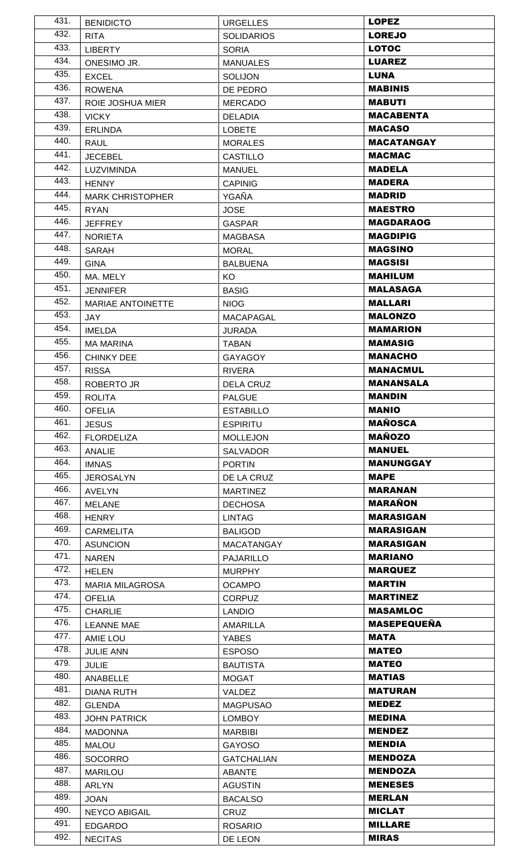| 431. | <b>BENIDICTO</b>         | <b>URGELLES</b>   | <b>LOPEZ</b>       |
|------|--------------------------|-------------------|--------------------|
| 432. | <b>RITA</b>              | <b>SOLIDARIOS</b> | <b>LOREJO</b>      |
| 433. | <b>LIBERTY</b>           | <b>SORIA</b>      | <b>LOTOC</b>       |
| 434. | ONESIMO JR.              | <b>MANUALES</b>   | <b>LUAREZ</b>      |
| 435. | <b>EXCEL</b>             | <b>SOLIJON</b>    | <b>LUNA</b>        |
| 436. | <b>ROWENA</b>            | DE PEDRO          | <b>MABINIS</b>     |
| 437. | <b>ROIE JOSHUA MIER</b>  | <b>MERCADO</b>    | <b>MABUTI</b>      |
| 438. | <b>VICKY</b>             | <b>DELADIA</b>    | <b>MACABENTA</b>   |
| 439. | <b>ERLINDA</b>           | <b>LOBETE</b>     | <b>MACASO</b>      |
| 440. | <b>RAUL</b>              | <b>MORALES</b>    | <b>MACATANGAY</b>  |
| 441. | <b>JECEBEL</b>           | <b>CASTILLO</b>   | <b>MACMAC</b>      |
| 442. | LUZVIMINDA               | <b>MANUEL</b>     | <b>MADELA</b>      |
| 443. | <b>HENNY</b>             | <b>CAPINIG</b>    | <b>MADERA</b>      |
| 444. | <b>MARK CHRISTOPHER</b>  | YGAÑA             | <b>MADRID</b>      |
| 445. | <b>RYAN</b>              | <b>JOSE</b>       | <b>MAESTRO</b>     |
| 446. | <b>JEFFREY</b>           | <b>GASPAR</b>     | <b>MAGDARAOG</b>   |
| 447. | <b>NORIETA</b>           | <b>MAGBASA</b>    | <b>MAGDIPIG</b>    |
| 448. | <b>SARAH</b>             | <b>MORAL</b>      | <b>MAGSINO</b>     |
| 449. | <b>GINA</b>              | <b>BALBUENA</b>   | <b>MAGSISI</b>     |
| 450. | MA. MELY                 | KO                | <b>MAHILUM</b>     |
| 451. | <b>JENNIFER</b>          | <b>BASIG</b>      | <b>MALASAGA</b>    |
| 452. | <b>MARIAE ANTOINETTE</b> | <b>NIOG</b>       | <b>MALLARI</b>     |
| 453. | <b>JAY</b>               | <b>MACAPAGAL</b>  | <b>MALONZO</b>     |
| 454. | <b>IMELDA</b>            | <b>JURADA</b>     | <b>MAMARION</b>    |
| 455. | <b>MA MARINA</b>         | <b>TABAN</b>      | <b>MAMASIG</b>     |
| 456. | <b>CHINKY DEE</b>        | <b>GAYAGOY</b>    | <b>MANACHO</b>     |
| 457. | <b>RISSA</b>             | <b>RIVERA</b>     | <b>MANACMUL</b>    |
| 458. | <b>ROBERTO JR</b>        | <b>DELA CRUZ</b>  | <b>MANANSALA</b>   |
| 459. | <b>ROLITA</b>            | <b>PALGUE</b>     | <b>MANDIN</b>      |
| 460. | <b>OFELIA</b>            | <b>ESTABILLO</b>  | <b>MANIO</b>       |
| 461. | <b>JESUS</b>             | <b>ESPIRITU</b>   | <b>MAÑOSCA</b>     |
| 462. | <b>FLORDELIZA</b>        | <b>MOLLEJON</b>   | <b>MAÑOZO</b>      |
| 463. | <b>ANALIE</b>            | <b>SALVADOR</b>   | <b>MANUEL</b>      |
| 464. | <b>IMNAS</b>             | <b>PORTIN</b>     | <b>MANUNGGAY</b>   |
| 465. | <b>JEROSALYN</b>         | DE LA CRUZ        | <b>MAPE</b>        |
| 466. | <b>AVELYN</b>            | <b>MARTINEZ</b>   | <b>MARANAN</b>     |
| 467. | <b>MELANE</b>            | <b>DECHOSA</b>    | <b>MARAÑON</b>     |
| 468. | <b>HENRY</b>             | <b>LINTAG</b>     | <b>MARASIGAN</b>   |
| 469. | <b>CARMELITA</b>         | <b>BALIGOD</b>    | <b>MARASIGAN</b>   |
| 470. | <b>ASUNCION</b>          | <b>MACATANGAY</b> | <b>MARASIGAN</b>   |
| 471. | <b>NAREN</b>             | <b>PAJARILLO</b>  | <b>MARIANO</b>     |
| 472. | <b>HELEN</b>             | <b>MURPHY</b>     | <b>MARQUEZ</b>     |
| 473. | <b>MARIA MILAGROSA</b>   | <b>OCAMPO</b>     | <b>MARTIN</b>      |
| 474. | <b>OFELIA</b>            | <b>CORPUZ</b>     | <b>MARTINEZ</b>    |
| 475. | <b>CHARLIE</b>           | <b>LANDIO</b>     | <b>MASAMLOC</b>    |
| 476. | <b>LEANNE MAE</b>        | AMARILLA          | <b>MASEPEQUEÑA</b> |
| 477. | <b>AMIE LOU</b>          | <b>YABES</b>      | <b>MATA</b>        |
| 478. | <b>JULIE ANN</b>         | <b>ESPOSO</b>     | <b>MATEO</b>       |
| 479. | <b>JULIE</b>             | <b>BAUTISTA</b>   | <b>MATEO</b>       |
| 480. | ANABELLE                 | <b>MOGAT</b>      | <b>MATIAS</b>      |
| 481. | DIANA RUTH               | <b>VALDEZ</b>     | <b>MATURAN</b>     |
| 482. | <b>GLENDA</b>            | <b>MAGPUSAO</b>   | <b>MEDEZ</b>       |
| 483. | <b>JOHN PATRICK</b>      | <b>LOMBOY</b>     | <b>MEDINA</b>      |
| 484. | <b>MADONNA</b>           | <b>MARBIBI</b>    | <b>MENDEZ</b>      |
| 485. | <b>MALOU</b>             | <b>GAYOSO</b>     | <b>MENDIA</b>      |
| 486. | <b>SOCORRO</b>           | <b>GATCHALIAN</b> | <b>MENDOZA</b>     |
| 487. | <b>MARILOU</b>           | <b>ABANTE</b>     | <b>MENDOZA</b>     |
| 488. | <b>ARLYN</b>             | <b>AGUSTIN</b>    | <b>MENESES</b>     |
| 489. | <b>JOAN</b>              | <b>BACALSO</b>    | <b>MERLAN</b>      |
| 490. | <b>NEYCO ABIGAIL</b>     | CRUZ              | <b>MICLAT</b>      |
| 491. | <b>EDGARDO</b>           | <b>ROSARIO</b>    | <b>MILLARE</b>     |
| 492. | <b>NECITAS</b>           | DE LEON           | <b>MIRAS</b>       |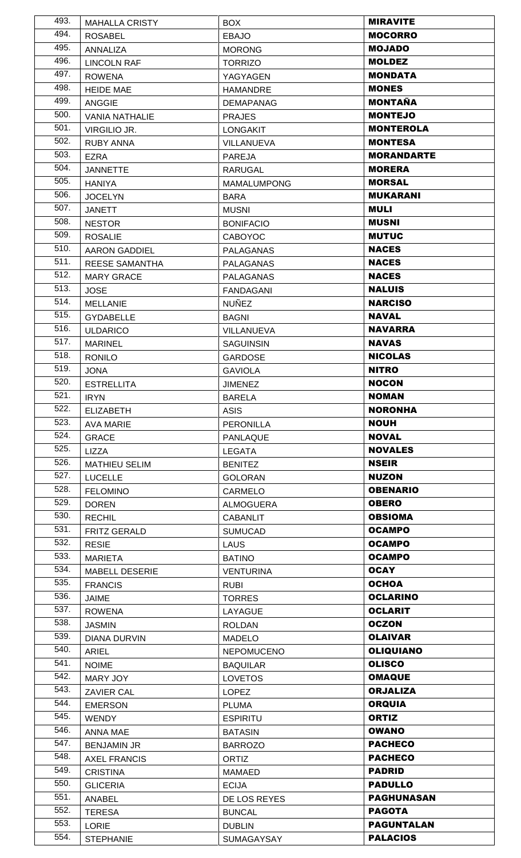| 493. | <b>MAHALLA CRISTY</b> | BOX.               | <b>MIRAVITE</b>   |
|------|-----------------------|--------------------|-------------------|
| 494. | <b>ROSABEL</b>        | <b>EBAJO</b>       | <b>MOCORRO</b>    |
| 495. | ANNALIZA              | <b>MORONG</b>      | <b>MOJADO</b>     |
| 496. | <b>LINCOLN RAF</b>    | <b>TORRIZO</b>     | <b>MOLDEZ</b>     |
| 497. | <b>ROWENA</b>         | YAGYAGEN           | <b>MONDATA</b>    |
| 498. | <b>HEIDE MAE</b>      | <b>HAMANDRE</b>    | <b>MONES</b>      |
| 499. | <b>ANGGIE</b>         | <b>DEMAPANAG</b>   | <b>MONTAÑA</b>    |
| 500. | <b>VANIA NATHALIE</b> | <b>PRAJES</b>      | <b>MONTEJO</b>    |
| 501. | <b>VIRGILIO JR.</b>   | <b>LONGAKIT</b>    | <b>MONTEROLA</b>  |
| 502. | <b>RUBY ANNA</b>      | VILLANUEVA         | <b>MONTESA</b>    |
| 503. | EZRA                  | <b>PAREJA</b>      | <b>MORANDARTE</b> |
| 504. | <b>JANNETTE</b>       | <b>RARUGAL</b>     | <b>MORERA</b>     |
| 505. | <b>HANIYA</b>         | <b>MAMALUMPONG</b> | <b>MORSAL</b>     |
| 506. | <b>JOCELYN</b>        | <b>BARA</b>        | <b>MUKARANI</b>   |
| 507. | <b>JANETT</b>         | <b>MUSNI</b>       | <b>MULI</b>       |
| 508. | <b>NESTOR</b>         | <b>BONIFACIO</b>   | <b>MUSNI</b>      |
| 509. | <b>ROSALIE</b>        | <b>CABOYOC</b>     | <b>MUTUC</b>      |
| 510. | <b>AARON GADDIEL</b>  | <b>PALAGANAS</b>   | <b>NACES</b>      |
| 511. | <b>REESE SAMANTHA</b> | <b>PALAGANAS</b>   | <b>NACES</b>      |
| 512. | <b>MARY GRACE</b>     | <b>PALAGANAS</b>   | <b>NACES</b>      |
| 513. | <b>JOSE</b>           | <b>FANDAGANI</b>   | <b>NALUIS</b>     |
| 514. | <b>MELLANIE</b>       | <b>NUÑEZ</b>       | <b>NARCISO</b>    |
| 515. | <b>GYDABELLE</b>      | <b>BAGNI</b>       | <b>NAVAL</b>      |
| 516. | <b>ULDARICO</b>       | <b>VILLANUEVA</b>  | <b>NAVARRA</b>    |
| 517. | <b>MARINEL</b>        | <b>SAGUINSIN</b>   | <b>NAVAS</b>      |
| 518. | <b>RONILO</b>         | <b>GARDOSE</b>     | <b>NICOLAS</b>    |
| 519. | <b>JONA</b>           | <b>GAVIOLA</b>     | <b>NITRO</b>      |
| 520. | <b>ESTRELLITA</b>     | <b>JIMENEZ</b>     | <b>NOCON</b>      |
| 521. | <b>IRYN</b>           | <b>BARELA</b>      | <b>NOMAN</b>      |
| 522. | <b>ELIZABETH</b>      | <b>ASIS</b>        | <b>NORONHA</b>    |
| 523. | <b>AVA MARIE</b>      | <b>PERONILLA</b>   | <b>NOUH</b>       |
| 524. | <b>GRACE</b>          | PANLAQUE           | <b>NOVAL</b>      |
| 525. | <b>LIZZA</b>          | <b>LEGATA</b>      | <b>NOVALES</b>    |
| 526. | <b>MATHIEU SELIM</b>  | <b>BENITEZ</b>     | <b>NSEIR</b>      |
| 527. | <b>LUCELLE</b>        | <b>GOLORAN</b>     | <b>NUZON</b>      |
| 528. | <b>FELOMINO</b>       | CARMELO            | <b>OBENARIO</b>   |
| 529. | <b>DOREN</b>          | <b>ALMOGUERA</b>   | <b>OBERO</b>      |
| 530. | <b>RECHIL</b>         | <b>CABANLIT</b>    | <b>OBSIOMA</b>    |
| 531. | <b>FRITZ GERALD</b>   | <b>SUMUCAD</b>     | <b>OCAMPO</b>     |
| 532. | <b>RESIE</b>          | <b>LAUS</b>        | <b>OCAMPO</b>     |
| 533. | <b>MARIETA</b>        | <b>BATINO</b>      | <b>OCAMPO</b>     |
| 534. | MABELL DESERIE        | <b>VENTURINA</b>   | <b>OCAY</b>       |
| 535. | <b>FRANCIS</b>        | <b>RUBI</b>        | <b>OCHOA</b>      |
| 536. | <b>JAIME</b>          | <b>TORRES</b>      | <b>OCLARINO</b>   |
| 537. | <b>ROWENA</b>         | LAYAGUE            | <b>OCLARIT</b>    |
| 538. | <b>JASMIN</b>         | <b>ROLDAN</b>      | <b>OCZON</b>      |
| 539. | <b>DIANA DURVIN</b>   | <b>MADELO</b>      | <b>OLAIVAR</b>    |
| 540. | <b>ARIEL</b>          | <b>NEPOMUCENO</b>  | <b>OLIQUIANO</b>  |
| 541. | <b>NOIME</b>          | <b>BAQUILAR</b>    | <b>OLISCO</b>     |
| 542. | MARY JOY              | <b>LOVETOS</b>     | <b>OMAQUE</b>     |
| 543. | <b>ZAVIER CAL</b>     | <b>LOPEZ</b>       | <b>ORJALIZA</b>   |
| 544. | <b>EMERSON</b>        | <b>PLUMA</b>       | <b>ORQUIA</b>     |
| 545. | <b>WENDY</b>          | <b>ESPIRITU</b>    | <b>ORTIZ</b>      |
| 546. | <b>ANNA MAE</b>       | <b>BATASIN</b>     | <b>OWANO</b>      |
| 547. | <b>BENJAMIN JR</b>    | <b>BARROZO</b>     | <b>PACHECO</b>    |
| 548. | <b>AXEL FRANCIS</b>   | <b>ORTIZ</b>       | <b>PACHECO</b>    |
| 549. | <b>CRISTINA</b>       | MAMAED             | <b>PADRID</b>     |
| 550. | <b>GLICERIA</b>       | <b>ECIJA</b>       | <b>PADULLO</b>    |
| 551. | ANABEL                | DE LOS REYES       | <b>PAGHUNASAN</b> |
| 552. | <b>TERESA</b>         | <b>BUNCAL</b>      | <b>PAGOTA</b>     |
| 553. | LORIE                 | <b>DUBLIN</b>      | <b>PAGUNTALAN</b> |
| 554. | <b>STEPHANIE</b>      | SUMAGAYSAY         | <b>PALACIOS</b>   |
|      |                       |                    |                   |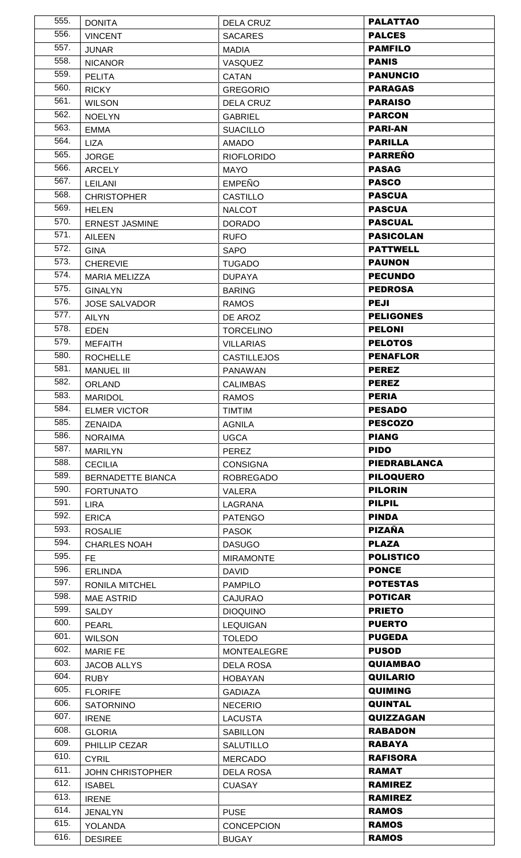|              | <b>DONITA</b>                    | <b>DELA CRUZ</b>                  | <b>PALATTAO</b>              |
|--------------|----------------------------------|-----------------------------------|------------------------------|
| 556.         | <b>VINCENT</b>                   | <b>SACARES</b>                    | <b>PALCES</b>                |
| 557.         | <b>JUNAR</b>                     | <b>MADIA</b>                      | <b>PAMFILO</b>               |
| 558.         | <b>NICANOR</b>                   | <b>VASQUEZ</b>                    | <b>PANIS</b>                 |
| 559.         | <b>PELITA</b>                    | <b>CATAN</b>                      | <b>PANUNCIO</b>              |
| 560.         | <b>RICKY</b>                     | <b>GREGORIO</b>                   | <b>PARAGAS</b>               |
| 561.         | <b>WILSON</b>                    | <b>DELA CRUZ</b>                  | <b>PARAISO</b>               |
| 562.         | <b>NOELYN</b>                    | <b>GABRIEL</b>                    | <b>PARCON</b>                |
| 563.         | <b>EMMA</b>                      | <b>SUACILLO</b>                   | <b>PARI-AN</b>               |
| 564.         | <b>LIZA</b>                      | <b>AMADO</b>                      | <b>PARILLA</b>               |
| 565.         | <b>JORGE</b>                     | <b>RIOFLORIDO</b>                 | <b>PARREÑO</b>               |
| 566.         | <b>ARCELY</b>                    | <b>MAYO</b>                       | <b>PASAG</b>                 |
| 567.         | LEILANI                          | <b>EMPEÑO</b>                     | <b>PASCO</b>                 |
| 568.         | <b>CHRISTOPHER</b>               | <b>CASTILLO</b>                   | <b>PASCUA</b>                |
| 569.         | <b>HELEN</b>                     | <b>NALCOT</b>                     | <b>PASCUA</b>                |
| 570.         | <b>ERNEST JASMINE</b>            | <b>DORADO</b>                     | <b>PASCUAL</b>               |
| 571.         | <b>AILEEN</b>                    | <b>RUFO</b>                       | <b>PASICOLAN</b>             |
| 572.         | <b>GINA</b>                      | <b>SAPO</b>                       | <b>PATTWELL</b>              |
| 573.         | <b>CHEREVIE</b>                  | <b>TUGADO</b>                     | <b>PAUNON</b>                |
| 574.         | <b>MARIA MELIZZA</b>             | <b>DUPAYA</b>                     | <b>PECUNDO</b>               |
| 575.         | <b>GINALYN</b>                   | <b>BARING</b>                     | <b>PEDROSA</b>               |
| 576.         | <b>JOSE SALVADOR</b>             | <b>RAMOS</b>                      | <b>PEJI</b>                  |
| 577.         | <b>AILYN</b>                     | DE AROZ                           | <b>PELIGONES</b>             |
| 578.         | <b>EDEN</b>                      | <b>TORCELINO</b>                  | <b>PELONI</b>                |
| 579.         | <b>MEFAITH</b>                   | <b>VILLARIAS</b>                  | <b>PELOTOS</b>               |
| 580.         | <b>ROCHELLE</b>                  | <b>CASTILLEJOS</b>                | <b>PENAFLOR</b>              |
| 581.         | <b>MANUEL III</b>                | <b>PANAWAN</b>                    | <b>PEREZ</b>                 |
| 582.         | <b>ORLAND</b>                    | <b>CALIMBAS</b>                   | <b>PEREZ</b>                 |
| 583.         | <b>MARIDOL</b>                   | <b>RAMOS</b>                      | <b>PERIA</b>                 |
| 584.         | <b>ELMER VICTOR</b>              | <b>TIMTIM</b>                     | <b>PESADO</b>                |
| 585.         | <b>ZENAIDA</b>                   | <b>AGNILA</b>                     | <b>PESCOZO</b>               |
| 586.         | <b>NORAIMA</b>                   | <b>UGCA</b>                       | <b>PIANG</b>                 |
| 587.         | <b>MARILYN</b>                   | <b>PEREZ</b>                      | <b>PIDO</b>                  |
| 588.         | <b>CECILIA</b>                   | <b>CONSIGNA</b>                   | <b>PIEDRABLANCA</b>          |
| 589.         | <b>BERNADETTE BIANCA</b>         | <b>ROBREGADO</b>                  | <b>PILOQUERO</b>             |
| 590.         | <b>FORTUNATO</b>                 | VALERA                            | <b>PILORIN</b>               |
| 591.         | LIRA                             | LAGRANA                           | <b>PILPIL</b>                |
| 592.         |                                  |                                   |                              |
|              |                                  |                                   |                              |
| 593.         | <b>ERICA</b>                     | <b>PATENGO</b>                    | <b>PINDA</b>                 |
|              | <b>ROSALIE</b>                   | <b>PASOK</b>                      | <b>PIZAÑA</b>                |
| 594.         | <b>CHARLES NOAH</b>              | <b>DASUGO</b>                     | <b>PLAZA</b>                 |
| 595.         | FE.                              | <b>MIRAMONTE</b>                  | <b>POLISTICO</b>             |
| 596.         | <b>ERLINDA</b>                   | <b>DAVID</b>                      | <b>PONCE</b>                 |
| 597.         | RONILA MITCHEL                   | <b>PAMPILO</b>                    | <b>POTESTAS</b>              |
| 598.<br>599. | <b>MAE ASTRID</b>                | <b>CAJURAO</b>                    | <b>POTICAR</b>               |
|              | SALDY                            | <b>DIOQUINO</b>                   | <b>PRIETO</b>                |
| 600.<br>601. | <b>PEARL</b>                     | <b>LEQUIGAN</b>                   | <b>PUERTO</b>                |
|              | <b>WILSON</b>                    | <b>TOLEDO</b>                     | <b>PUGEDA</b>                |
| 602.         | <b>MARIE FE</b>                  | <b>MONTEALEGRE</b>                | <b>PUSOD</b>                 |
| 603.         | <b>JACOB ALLYS</b>               | <b>DELA ROSA</b>                  | <b>QUIAMBAO</b>              |
| 604.         | <b>RUBY</b>                      | <b>HOBAYAN</b>                    | <b>QUILARIO</b>              |
| 605.         | <b>FLORIFE</b>                   | <b>GADIAZA</b>                    | <b>QUIMING</b>               |
| 606.         | <b>SATORNINO</b>                 | <b>NECERIO</b>                    | <b>QUINTAL</b>               |
| 607.         | <b>IRENE</b>                     | <b>LACUSTA</b>                    | <b>QUIZZAGAN</b>             |
| 608.         | <b>GLORIA</b>                    | <b>SABILLON</b>                   | <b>RABADON</b>               |
| 609.         | PHILLIP CEZAR                    | SALUTILLO                         | <b>RABAYA</b>                |
| 610.         | <b>CYRIL</b>                     | <b>MERCADO</b>                    | <b>RAFISORA</b>              |
| 611.         | JOHN CHRISTOPHER                 | <b>DELA ROSA</b>                  | <b>RAMAT</b>                 |
| 612.         | <b>ISABEL</b>                    | <b>CUASAY</b>                     | <b>RAMIREZ</b>               |
| 613.         | <b>IRENE</b>                     |                                   | <b>RAMIREZ</b>               |
| 614.         | <b>JENALYN</b>                   | <b>PUSE</b>                       | <b>RAMOS</b>                 |
| 615.<br>616. | <b>YOLANDA</b><br><b>DESIREE</b> | <b>CONCEPCION</b><br><b>BUGAY</b> | <b>RAMOS</b><br><b>RAMOS</b> |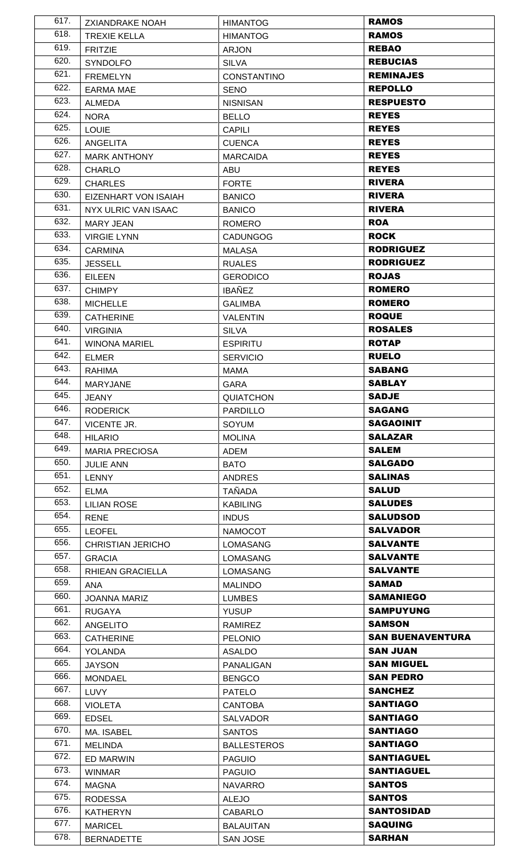| 617. | <b>ZXIANDRAKE NOAH</b>   | <b>HIMANTOG</b>    | <b>RAMOS</b>            |
|------|--------------------------|--------------------|-------------------------|
| 618. | <b>TREXIE KELLA</b>      | <b>HIMANTOG</b>    | <b>RAMOS</b>            |
| 619. | <b>FRITZIE</b>           | <b>ARJON</b>       | <b>REBAO</b>            |
| 620. | <b>SYNDOLFO</b>          | <b>SILVA</b>       | <b>REBUCIAS</b>         |
| 621. | <b>FREMELYN</b>          | <b>CONSTANTINO</b> | <b>REMINAJES</b>        |
| 622. | <b>EARMA MAE</b>         | <b>SENO</b>        | <b>REPOLLO</b>          |
| 623. | ALMEDA                   | <b>NISNISAN</b>    | <b>RESPUESTO</b>        |
| 624. | <b>NORA</b>              | <b>BELLO</b>       | <b>REYES</b>            |
| 625. | <b>LOUIE</b>             | <b>CAPILI</b>      | <b>REYES</b>            |
| 626. | <b>ANGELITA</b>          | <b>CUENCA</b>      | <b>REYES</b>            |
| 627. | <b>MARK ANTHONY</b>      | <b>MARCAIDA</b>    | <b>REYES</b>            |
| 628. | <b>CHARLO</b>            | ABU                | <b>REYES</b>            |
| 629. | <b>CHARLES</b>           | <b>FORTE</b>       | <b>RIVERA</b>           |
| 630. | EIZENHART VON ISAIAH     | <b>BANICO</b>      | <b>RIVERA</b>           |
| 631. | NYX ULRIC VAN ISAAC      | <b>BANICO</b>      | <b>RIVERA</b>           |
| 632. | MARY JEAN                | <b>ROMERO</b>      | <b>ROA</b>              |
| 633. | <b>VIRGIE LYNN</b>       | <b>CADUNGOG</b>    | <b>ROCK</b>             |
| 634. | <b>CARMINA</b>           | <b>MALASA</b>      | <b>RODRIGUEZ</b>        |
| 635. | <b>JESSELL</b>           | <b>RUALES</b>      | <b>RODRIGUEZ</b>        |
| 636. | <b>EILEEN</b>            | <b>GERODICO</b>    | <b>ROJAS</b>            |
| 637. | <b>CHIMPY</b>            | <b>IBAÑEZ</b>      | <b>ROMERO</b>           |
| 638. | <b>MICHELLE</b>          | <b>GALIMBA</b>     | <b>ROMERO</b>           |
| 639. | <b>CATHERINE</b>         | <b>VALENTIN</b>    | <b>ROQUE</b>            |
| 640. | <b>VIRGINIA</b>          | <b>SILVA</b>       | <b>ROSALES</b>          |
| 641. | <b>WINONA MARIEL</b>     | <b>ESPIRITU</b>    | <b>ROTAP</b>            |
| 642. | <b>ELMER</b>             | <b>SERVICIO</b>    | <b>RUELO</b>            |
| 643. | <b>RAHIMA</b>            | MAMA               | <b>SABANG</b>           |
| 644. | <b>MARYJANE</b>          | <b>GARA</b>        | <b>SABLAY</b>           |
| 645. | JEANY                    | QUIATCHON          | <b>SADJE</b>            |
| 646. | <b>RODERICK</b>          | <b>PARDILLO</b>    | <b>SAGANG</b>           |
| 647. | VICENTE JR.              | <b>SOYUM</b>       | <b>SAGAOINIT</b>        |
| 648. | <b>HILARIO</b>           | <b>MOLINA</b>      | <b>SALAZAR</b>          |
| 649. | <b>MARIA PRECIOSA</b>    | ADEM               | <b>SALEM</b>            |
| 650. | <b>JULIE ANN</b>         | <b>BATO</b>        | <b>SALGADO</b>          |
| 651. | <b>LENNY</b>             | <b>ANDRES</b>      | <b>SALINAS</b>          |
| 652. | <b>ELMA</b>              | <b>TAÑADA</b>      | <b>SALUD</b>            |
| 653. | <b>LILIAN ROSE</b>       | <b>KABILING</b>    | <b>SALUDES</b>          |
| 654. | <b>RENE</b>              | <b>INDUS</b>       | <b>SALUDSOD</b>         |
| 655. | <b>LEOFEL</b>            | <b>NAMOCOT</b>     | <b>SALVADOR</b>         |
| 656. | <b>CHRISTIAN JERICHO</b> | LOMASANG           | <b>SALVANTE</b>         |
| 657. | <b>GRACIA</b>            | <b>LOMASANG</b>    | <b>SALVANTE</b>         |
| 658. | RHIEAN GRACIELLA         | <b>LOMASANG</b>    | <b>SALVANTE</b>         |
| 659. | <b>ANA</b>               | <b>MALINDO</b>     | <b>SAMAD</b>            |
| 660. | <b>JOANNA MARIZ</b>      | <b>LUMBES</b>      | <b>SAMANIEGO</b>        |
| 661. | <b>RUGAYA</b>            | <b>YUSUP</b>       | <b>SAMPUYUNG</b>        |
| 662. | <b>ANGELITO</b>          | <b>RAMIREZ</b>     | <b>SAMSON</b>           |
| 663. | <b>CATHERINE</b>         | <b>PELONIO</b>     | <b>SAN BUENAVENTURA</b> |
| 664. | YOLANDA                  | ASALDO             | <b>SAN JUAN</b>         |
| 665. | <b>JAYSON</b>            | <b>PANALIGAN</b>   | <b>SAN MIGUEL</b>       |
| 666. | <b>MONDAEL</b>           | <b>BENGCO</b>      | <b>SAN PEDRO</b>        |
| 667. | <b>LUVY</b>              | <b>PATELO</b>      | <b>SANCHEZ</b>          |
| 668. | <b>VIOLETA</b>           | <b>CANTOBA</b>     | <b>SANTIAGO</b>         |
| 669. | <b>EDSEL</b>             | SALVADOR           | <b>SANTIAGO</b>         |
| 670. | MA. ISABEL               | <b>SANTOS</b>      | <b>SANTIAGO</b>         |
| 671. | <b>MELINDA</b>           | <b>BALLESTEROS</b> | <b>SANTIAGO</b>         |
| 672. | ED MARWIN                | <b>PAGUIO</b>      | <b>SANTIAGUEL</b>       |
| 673. | <b>WINMAR</b>            | <b>PAGUIO</b>      | <b>SANTIAGUEL</b>       |
| 674. | <b>MAGNA</b>             | <b>NAVARRO</b>     | <b>SANTOS</b>           |
| 675. | <b>RODESSA</b>           | <b>ALEJO</b>       | <b>SANTOS</b>           |
| 676. | <b>KATHERYN</b>          | <b>CABARLO</b>     | <b>SANTOSIDAD</b>       |
| 677. | <b>MARICEL</b>           |                    | <b>SAQUING</b>          |
| 678. |                          | <b>BALAUITAN</b>   | <b>SARHAN</b>           |
|      | <b>BERNADETTE</b>        | SAN JOSE           |                         |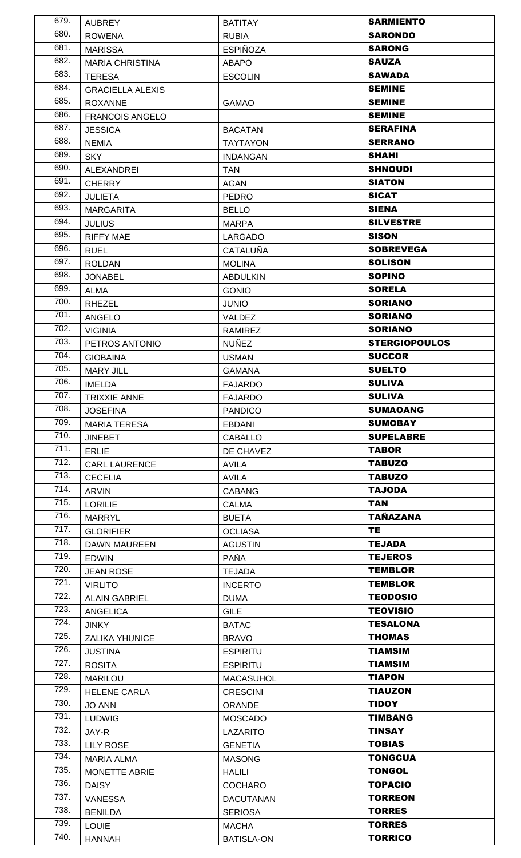| 679. | <b>AUBREY</b>                        | <b>BATITAY</b>            | <b>SARMIENTO</b>     |
|------|--------------------------------------|---------------------------|----------------------|
| 680. | <b>ROWENA</b>                        | <b>RUBIA</b>              | <b>SARONDO</b>       |
| 681. | <b>MARISSA</b>                       | <b>ESPIÑOZA</b>           | <b>SARONG</b>        |
| 682. | <b>MARIA CHRISTINA</b>               | <b>ABAPO</b>              | <b>SAUZA</b>         |
| 683. | <b>TERESA</b>                        | <b>ESCOLIN</b>            | <b>SAWADA</b>        |
| 684. | <b>GRACIELLA ALEXIS</b>              |                           | <b>SEMINE</b>        |
| 685. | <b>ROXANNE</b>                       | <b>GAMAO</b>              | <b>SEMINE</b>        |
| 686. | <b>FRANCOIS ANGELO</b>               |                           | <b>SEMINE</b>        |
| 687. | <b>JESSICA</b>                       | <b>BACATAN</b>            | <b>SERAFINA</b>      |
| 688. | <b>NEMIA</b>                         | <b>TAYTAYON</b>           | <b>SERRANO</b>       |
| 689. | <b>SKY</b>                           | <b>INDANGAN</b>           | <b>SHAHI</b>         |
| 690. | ALEXANDREI                           | <b>TAN</b>                | <b>SHNOUDI</b>       |
| 691. | <b>CHERRY</b>                        | <b>AGAN</b>               | <b>SIATON</b>        |
| 692. | <b>JULIETA</b>                       | <b>PEDRO</b>              | <b>SICAT</b>         |
| 693. | <b>MARGARITA</b>                     | <b>BELLO</b>              | <b>SIENA</b>         |
| 694. | <b>JULIUS</b>                        | <b>MARPA</b>              | <b>SILVESTRE</b>     |
| 695. | <b>RIFFY MAE</b>                     | LARGADO                   | <b>SISON</b>         |
| 696. | <b>RUEL</b>                          | <b>CATALUÑA</b>           | <b>SOBREVEGA</b>     |
| 697. | <b>ROLDAN</b>                        | <b>MOLINA</b>             | <b>SOLISON</b>       |
| 698. | <b>JONABEL</b>                       | <b>ABDULKIN</b>           | <b>SOPINO</b>        |
| 699. | <b>ALMA</b>                          | <b>GONIO</b>              | <b>SORELA</b>        |
| 700. | <b>RHEZEL</b>                        | <b>JUNIO</b>              | <b>SORIANO</b>       |
| 701. | <b>ANGELO</b>                        | VALDEZ                    | <b>SORIANO</b>       |
| 702. | <b>VIGINIA</b>                       | RAMIREZ                   | <b>SORIANO</b>       |
| 703. | PETROS ANTONIO                       | <b>NUÑEZ</b>              | <b>STERGIOPOULOS</b> |
| 704. | <b>GIOBAINA</b>                      | <b>USMAN</b>              | <b>SUCCOR</b>        |
| 705. | <b>MARY JILL</b>                     | <b>GAMANA</b>             | <b>SUELTO</b>        |
| 706. | <b>IMELDA</b>                        | <b>FAJARDO</b>            | <b>SULIVA</b>        |
| 707. | TRIXXIE ANNE                         | <b>FAJARDO</b>            | <b>SULIVA</b>        |
| 708. | <b>JOSEFINA</b>                      | <b>PANDICO</b>            | <b>SUMAOANG</b>      |
| 709. | <b>MARIA TERESA</b>                  | <b>EBDANI</b>             | <b>SUMOBAY</b>       |
| 710. | <b>JINEBET</b>                       | <b>CABALLO</b>            | <b>SUPELABRE</b>     |
| 711. |                                      |                           | <b>TABOR</b>         |
| 712. | <b>ERLIE</b><br><b>CARL LAURENCE</b> | DE CHAVEZ<br><b>AVILA</b> | <b>TABUZO</b>        |
| 713. | <b>CECELIA</b>                       | <b>AVILA</b>              | <b>TABUZO</b>        |
| 714. | <b>ARVIN</b>                         | <b>CABANG</b>             | <b>AOOLAT</b>        |
| 715. | <b>LORILIE</b>                       | CALMA                     | <b>TAN</b>           |
| 716. | <b>MARRYL</b>                        | <b>BUETA</b>              | <b>TAÑAZANA</b>      |
| 717. | <b>GLORIFIER</b>                     | <b>OCLIASA</b>            | <b>TE</b>            |
| 718. | <b>DAWN MAUREEN</b>                  | <b>AGUSTIN</b>            | <b>TEJADA</b>        |
| 719. | <b>EDWIN</b>                         | PAÑA                      | <b>TEJEROS</b>       |
| 720. | <b>JEAN ROSE</b>                     | <b>TEJADA</b>             | <b>TEMBLOR</b>       |
| 721. | <b>VIRLITO</b>                       | <b>INCERTO</b>            | <b>TEMBLOR</b>       |
| 722. | <b>ALAIN GABRIEL</b>                 | <b>DUMA</b>               | <b>TEODOSIO</b>      |
| 723. | <b>ANGELICA</b>                      | <b>GILE</b>               | <b>TEOVISIO</b>      |
| 724. | <b>JINKY</b>                         | <b>BATAC</b>              | <b>TESALONA</b>      |
| 725. | <b>ZALIKA YHUNICE</b>                | <b>BRAVO</b>              | <b>THOMAS</b>        |
| 726. | <b>JUSTINA</b>                       | <b>ESPIRITU</b>           | <b>TIAMSIM</b>       |
| 727. | <b>ROSITA</b>                        | <b>ESPIRITU</b>           | <b>TIAMSIM</b>       |
| 728. | <b>MARILOU</b>                       | <b>MACASUHOL</b>          | <b>TIAPON</b>        |
| 729. | <b>HELENE CARLA</b>                  | <b>CRESCINI</b>           | <b>TIAUZON</b>       |
| 730. | <b>JO ANN</b>                        | <b>ORANDE</b>             | <b>TIDOY</b>         |
| 731. | <b>LUDWIG</b>                        | <b>MOSCADO</b>            | <b>TIMBANG</b>       |
| 732. | JAY-R                                | LAZARITO                  | <b>TINSAY</b>        |
| 733. | <b>LILY ROSE</b>                     | <b>GENETIA</b>            | <b>TOBIAS</b>        |
| 734. | <b>MARIA ALMA</b>                    | <b>MASONG</b>             | <b>TONGCUA</b>       |
| 735. | <b>MONETTE ABRIE</b>                 | <b>HALILI</b>             | <b>TONGOL</b>        |
| 736. | <b>DAISY</b>                         | <b>COCHARO</b>            | <b>TOPACIO</b>       |
| 737. | <b>VANESSA</b>                       | <b>DACUTANAN</b>          | <b>TORREON</b>       |
| 738. | <b>BENILDA</b>                       | <b>SERIOSA</b>            | <b>TORRES</b>        |
| 739. | <b>LOUIE</b>                         | <b>MACHA</b>              | <b>TORRES</b>        |
| 740. | <b>HANNAH</b>                        | <b>BATISLA-ON</b>         | <b>TORRICO</b>       |
|      |                                      |                           |                      |